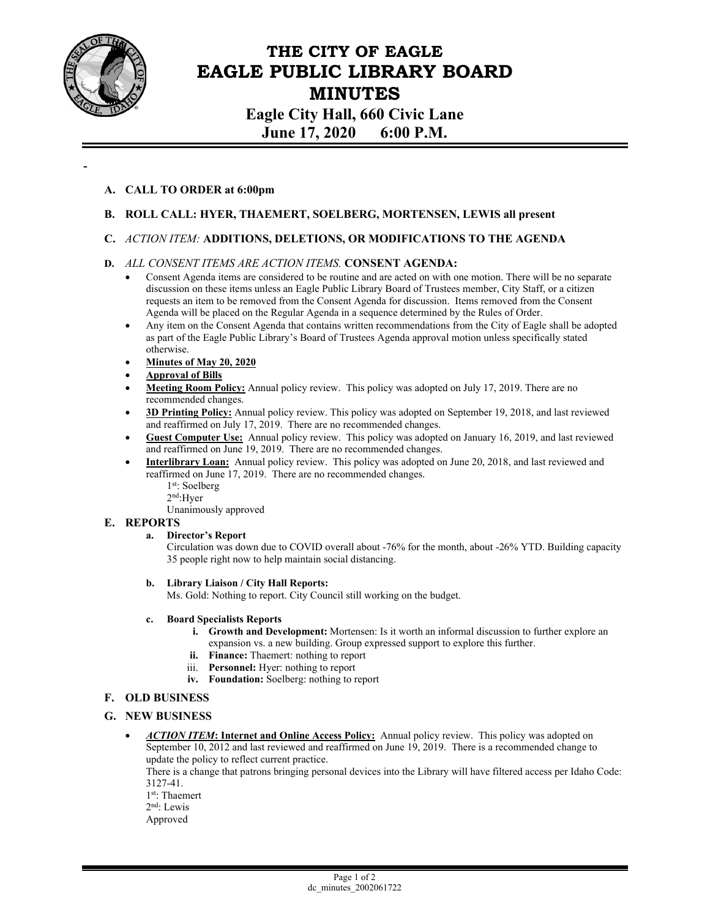

**-** 

# **THE CITY OF EAGLE EAGLE PUBLIC LIBRARY BOARD MINUTES Eagle City Hall, 660 Civic Lane June 17, 2020 6:00 P.M.**

## **A. CALL TO ORDER at 6:00pm**

### **B. ROLL CALL: HYER, THAEMERT, SOELBERG, MORTENSEN, LEWIS all present**

#### **C.** *ACTION ITEM:* **ADDITIONS, DELETIONS, OR MODIFICATIONS TO THE AGENDA**

#### **D.** *ALL CONSENT ITEMS ARE ACTION ITEMS.* **CONSENT AGENDA:**

- Consent Agenda items are considered to be routine and are acted on with one motion. There will be no separate discussion on these items unless an Eagle Public Library Board of Trustees member, City Staff, or a citizen requests an item to be removed from the Consent Agenda for discussion. Items removed from the Consent Agenda will be placed on the Regular Agenda in a sequence determined by the Rules of Order.
- Any item on the Consent Agenda that contains written recommendations from the City of Eagle shall be adopted as part of the Eagle Public Library's Board of Trustees Agenda approval motion unless specifically stated otherwise.

#### **Minutes of May 20, 2020**

- **Approval of Bills**
- **Meeting Room Policy:** Annual policy review. This policy was adopted on July 17, 2019. There are no recommended changes.
- **3D Printing Policy:** Annual policy review. This policy was adopted on September 19, 2018, and last reviewed and reaffirmed on July 17, 2019. There are no recommended changes.
- **Guest Computer Use:** Annual policy review. This policy was adopted on January 16, 2019, and last reviewed and reaffirmed on June 19, 2019. There are no recommended changes.
- **Interlibrary Loan:** Annual policy review. This policy was adopted on June 20, 2018, and last reviewed and reaffirmed on June 17, 2019. There are no recommended changes.
	- 1st: Soelberg

 2nd:Hyer Unanimously approved

#### **E. REPORTS**

#### **a. Director's Report**

Circulation was down due to COVID overall about -76% for the month, about -26% YTD. Building capacity 35 people right now to help maintain social distancing.

#### **b. Library Liaison / City Hall Reports:**

Ms. Gold: Nothing to report. City Council still working on the budget.

#### **c. Board Specialists Reports**

- **i. Growth and Development:** Mortensen: Is it worth an informal discussion to further explore an expansion vs. a new building. Group expressed support to explore this further.
- **ii. Finance:** Thaemert: nothing to report
- iii. **Personnel:** Hyer: nothing to report
- **iv. Foundation:** Soelberg: nothing to report

#### **F. OLD BUSINESS**

#### **G. NEW BUSINESS**

 *ACTION ITEM***: Internet and Online Access Policy:** Annual policy review. This policy was adopted on September 10, 2012 and last reviewed and reaffirmed on June 19, 2019. There is a recommended change to update the policy to reflect current practice.

There is a change that patrons bringing personal devices into the Library will have filtered access per Idaho Code: 3127-41.

1st: Thaemert 2nd: Lewis

Approved